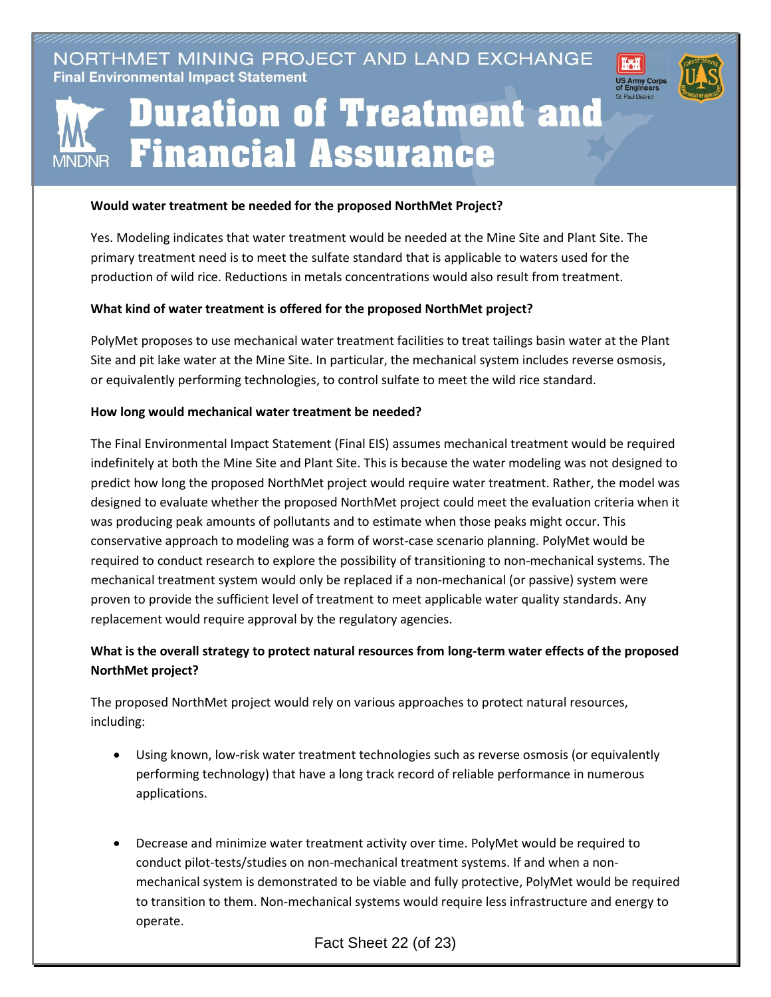NORTHMET MINING PROJECT AND LAND EXCHANGE **Final Environmental Impact Statement** 





# **Duration of Treatment and Financial Assurance MNDNR**

#### **Would water treatment be needed for the proposed NorthMet Project?**

Yes. Modeling indicates that water treatment would be needed at the Mine Site and Plant Site. The primary treatment need is to meet the sulfate standard that is applicable to waters used for the production of wild rice. Reductions in metals concentrations would also result from treatment.

### **What kind of water treatment is offered for the proposed NorthMet project?**

PolyMet proposes to use mechanical water treatment facilities to treat tailings basin water at the Plant Site and pit lake water at the Mine Site. In particular, the mechanical system includes reverse osmosis, or equivalently performing technologies, to control sulfate to meet the wild rice standard.

### **How long would mechanical water treatment be needed?**

The Final Environmental Impact Statement (Final EIS) assumes mechanical treatment would be required indefinitely at both the Mine Site and Plant Site. This is because the water modeling was not designed to predict how long the proposed NorthMet project would require water treatment. Rather, the model was designed to evaluate whether the proposed NorthMet project could meet the evaluation criteria when it was producing peak amounts of pollutants and to estimate when those peaks might occur. This conservative approach to modeling was a form of worst-case scenario planning. PolyMet would be required to conduct research to explore the possibility of transitioning to non-mechanical systems. The mechanical treatment system would only be replaced if a non-mechanical (or passive) system were proven to provide the sufficient level of treatment to meet applicable water quality standards. Any replacement would require approval by the regulatory agencies.

## **What is the overall strategy to protect natural resources from long-term water effects of the proposed NorthMet project?**

The proposed NorthMet project would rely on various approaches to protect natural resources, including:

- Using known, low-risk water treatment technologies such as reverse osmosis (or equivalently performing technology) that have a long track record of reliable performance in numerous applications.
- Decrease and minimize water treatment activity over time. PolyMet would be required to conduct pilot-tests/studies on non-mechanical treatment systems. If and when a nonmechanical system is demonstrated to be viable and fully protective, PolyMet would be required to transition to them. Non-mechanical systems would require less infrastructure and energy to operate.

Fact Sheet 22 (of 23)